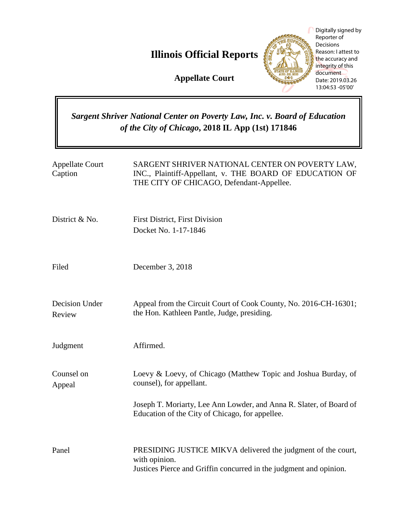# **Illinois Official Reports**



# *Sargent Shriver National Center on Poverty Law, Inc. v. Board of Education of the City of Chicago***, 2018 IL App (1st) 171846**

|                                                                                                                                       | Digitally signed by<br>Reporter of<br>Decisions<br>Reason: I attest to<br><b>Illinois Official Reports</b><br>the accuracy and<br>integrity of this<br>document<br><b>Appellate Court</b><br>Date: 2019.03.26<br>13:04:53 -05'00' |
|---------------------------------------------------------------------------------------------------------------------------------------|-----------------------------------------------------------------------------------------------------------------------------------------------------------------------------------------------------------------------------------|
| <b>Sargent Shriver National Center on Poverty Law, Inc. v. Board of Education</b><br>of the City of Chicago, 2018 IL App (1st) 171846 |                                                                                                                                                                                                                                   |
| <b>Appellate Court</b><br>Caption                                                                                                     | SARGENT SHRIVER NATIONAL CENTER ON POVERTY LAW,<br>INC., Plaintiff-Appellant, v. THE BOARD OF EDUCATION OF<br>THE CITY OF CHICAGO, Defendant-Appellee.                                                                            |
| District & No.                                                                                                                        | <b>First District, First Division</b><br>Docket No. 1-17-1846                                                                                                                                                                     |
| Filed                                                                                                                                 | December 3, 2018                                                                                                                                                                                                                  |
| Decision Under<br>Review                                                                                                              | Appeal from the Circuit Court of Cook County, No. 2016-CH-16301;<br>the Hon. Kathleen Pantle, Judge, presiding.                                                                                                                   |
| Judgment                                                                                                                              | Affirmed.                                                                                                                                                                                                                         |
| Counsel on<br>Appeal                                                                                                                  | Loevy & Loevy, of Chicago (Matthew Topic and Joshua Burday, of<br>counsel), for appellant.                                                                                                                                        |
|                                                                                                                                       | Joseph T. Moriarty, Lee Ann Lowder, and Anna R. Slater, of Board of<br>Education of the City of Chicago, for appellee.                                                                                                            |
| Panel                                                                                                                                 | PRESIDING JUSTICE MIKVA delivered the judgment of the court,<br>with opinion.<br>Justices Pierce and Griffin concurred in the judgment and opinion.                                                                               |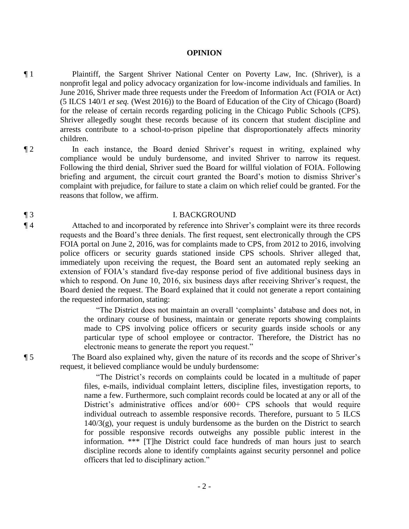### **OPINION**

- ¶ 1 Plaintiff, the Sargent Shriver National Center on Poverty Law, Inc. (Shriver), is a nonprofit legal and policy advocacy organization for low-income individuals and families. In June 2016, Shriver made three requests under the Freedom of Information Act (FOIA or Act) (5 ILCS 140/1 *et seq.* (West 2016)) to the Board of Education of the City of Chicago (Board) for the release of certain records regarding policing in the Chicago Public Schools (CPS). Shriver allegedly sought these records because of its concern that student discipline and arrests contribute to a school-to-prison pipeline that disproportionately affects minority children.
- ¶ 2 In each instance, the Board denied Shriver's request in writing, explained why compliance would be unduly burdensome, and invited Shriver to narrow its request. Following the third denial, Shriver sued the Board for willful violation of FOIA. Following briefing and argument, the circuit court granted the Board's motion to dismiss Shriver's complaint with prejudice, for failure to state a claim on which relief could be granted. For the reasons that follow, we affirm.

## ¶ 3 I. BACKGROUND

¶ 4 Attached to and incorporated by reference into Shriver's complaint were its three records requests and the Board's three denials. The first request, sent electronically through the CPS FOIA portal on June 2, 2016, was for complaints made to CPS, from 2012 to 2016, involving police officers or security guards stationed inside CPS schools. Shriver alleged that, immediately upon receiving the request, the Board sent an automated reply seeking an extension of FOIA's standard five-day response period of five additional business days in which to respond. On June 10, 2016, six business days after receiving Shriver's request, the Board denied the request. The Board explained that it could not generate a report containing the requested information, stating:

> "The District does not maintain an overall 'complaints' database and does not, in the ordinary course of business, maintain or generate reports showing complaints made to CPS involving police officers or security guards inside schools or any particular type of school employee or contractor. Therefore, the District has no electronic means to generate the report you request."

¶ 5 The Board also explained why, given the nature of its records and the scope of Shriver's request, it believed compliance would be unduly burdensome:

> "The District's records on complaints could be located in a multitude of paper files, e-mails, individual complaint letters, discipline files, investigation reports, to name a few. Furthermore, such complaint records could be located at any or all of the District's administrative offices and/or  $600+$  CPS schools that would require individual outreach to assemble responsive records. Therefore, pursuant to 5 ILCS  $140/3(g)$ , your request is unduly burdensome as the burden on the District to search for possible responsive records outweighs any possible public interest in the information. \*\*\* [T]he District could face hundreds of man hours just to search discipline records alone to identify complaints against security personnel and police officers that led to disciplinary action."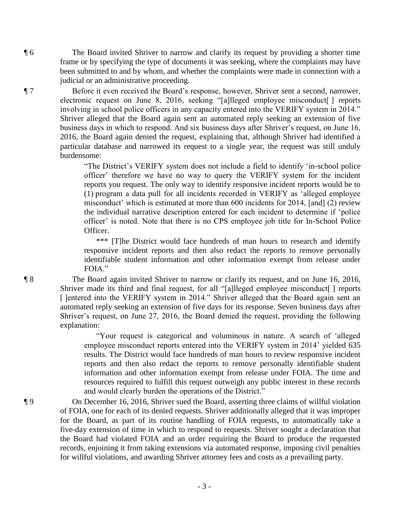¶ 6 The Board invited Shriver to narrow and clarify its request by providing a shorter time frame or by specifying the type of documents it was seeking, where the complaints may have been submitted to and by whom, and whether the complaints were made in connection with a judicial or an administrative proceeding.

¶ 7 Before it even received the Board's response, however, Shriver sent a second, narrower, electronic request on June 8, 2016, seeking "[a]lleged employee misconduct[ ] reports involving in school police officers in any capacity entered into the VERIFY system in 2014." Shriver alleged that the Board again sent an automated reply seeking an extension of five business days in which to respond. And six business days after Shriver's request, on June 16, 2016, the Board again denied the request, explaining that, although Shriver had identified a particular database and narrowed its request to a single year, the request was still unduly burdensome:

> "The District's VERIFY system does not include a field to identify 'in-school police officer' therefore we have no way to query the VERIFY system for the incident reports you request. The only way to identify responsive incident reports would be to (1) program a data pull for all incidents recorded in VERIFY as 'alleged employee misconduct' which is estimated at more than 600 incidents for 2014, [and] (2) review the individual narrative description entered for each incident to determine if 'police officer' is noted. Note that there is no CPS employee job title for In-School Police Officer.

> \*\*\* [T]he District would face hundreds of man hours to research and identify responsive incident reports and then also redact the reports to remove personally identifiable student information and other information exempt from release under FOIA."

¶ 8 The Board again invited Shriver to narrow or clarify its request, and on June 16, 2016, Shriver made its third and final request, for all "[a]lleged employee misconduct[ ] reports [ ]entered into the VERIFY system in 2014." Shriver alleged that the Board again sent an automated reply seeking an extension of five days for its response. Seven business days after Shriver's request, on June 27, 2016, the Board denied the request, providing the following explanation:

> "Your request is categorical and voluminous in nature. A search of 'alleged employee misconduct reports entered into the VERIFY system in 2014' yielded 635 results. The District would face hundreds of man hours to review responsive incident reports and then also redact the reports to remove personally identifiable student information and other information exempt from release under FOIA. The time and resources required to fulfill this request outweigh any public interest in these records and would clearly burden the operations of the District."

¶ 9 On December 16, 2016, Shriver sued the Board, asserting three claims of willful violation of FOIA, one for each of its denied requests. Shriver additionally alleged that it was improper for the Board, as part of its routine handling of FOIA requests, to automatically take a five-day extension of time in which to respond to requests. Shriver sought a declaration that the Board had violated FOIA and an order requiring the Board to produce the requested records, enjoining it from taking extensions via automated response, imposing civil penalties for willful violations, and awarding Shriver attorney fees and costs as a prevailing party.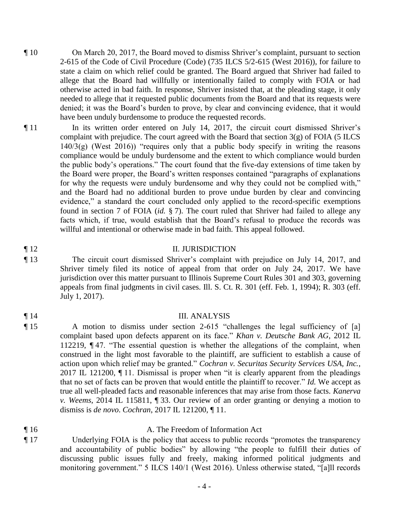- ¶ 10 On March 20, 2017, the Board moved to dismiss Shriver's complaint, pursuant to section 2-615 of the Code of Civil Procedure (Code) (735 ILCS 5/2-615 (West 2016)), for failure to state a claim on which relief could be granted. The Board argued that Shriver had failed to allege that the Board had willfully or intentionally failed to comply with FOIA or had otherwise acted in bad faith. In response, Shriver insisted that, at the pleading stage, it only needed to allege that it requested public documents from the Board and that its requests were denied; it was the Board's burden to prove, by clear and convincing evidence, that it would have been unduly burdensome to produce the requested records.
- ¶ 11 In its written order entered on July 14, 2017, the circuit court dismissed Shriver's complaint with prejudice. The court agreed with the Board that section  $3(g)$  of FOIA (5 ILCS  $140/3(g)$  (West 2016)) "requires only that a public body specify in writing the reasons compliance would be unduly burdensome and the extent to which compliance would burden the public body's operations." The court found that the five-day extensions of time taken by the Board were proper, the Board's written responses contained "paragraphs of explanations for why the requests were unduly burdensome and why they could not be complied with," and the Board had no additional burden to prove undue burden by clear and convincing evidence," a standard the court concluded only applied to the record-specific exemptions found in section 7 of FOIA (*id.* § 7). The court ruled that Shriver had failed to allege any facts which, if true, would establish that the Board's refusal to produce the records was willful and intentional or otherwise made in bad faith. This appeal followed.

# ¶ 12 II. JURISDICTION

¶ 13 The circuit court dismissed Shriver's complaint with prejudice on July 14, 2017, and Shriver timely filed its notice of appeal from that order on July 24, 2017. We have jurisdiction over this matter pursuant to Illinois Supreme Court Rules 301 and 303, governing appeals from final judgments in civil cases. Ill. S. Ct. R. 301 (eff. Feb. 1, 1994); R. 303 (eff. July 1, 2017).

## ¶ 14 III. ANALYSIS

- ¶ 15 A motion to dismiss under section 2-615 "challenges the legal sufficiency of [a] complaint based upon defects apparent on its face." *Khan v. Deutsche Bank AG*, 2012 IL 112219, ¶ 47. "The essential question is whether the allegations of the complaint, when construed in the light most favorable to the plaintiff, are sufficient to establish a cause of action upon which relief may be granted." *Cochran v. Securitas Security Services USA, Inc.*, 2017 IL 121200, ¶ 11. Dismissal is proper when "it is clearly apparent from the pleadings that no set of facts can be proven that would entitle the plaintiff to recover." *Id.* We accept as true all well-pleaded facts and reasonable inferences that may arise from those facts. *Kanerva v. Weems*, 2014 IL 115811, ¶ 33. Our review of an order granting or denying a motion to dismiss is *de novo*. *Cochran*, 2017 IL 121200, ¶ 11.
- ¶ 16 A. The Freedom of Information Act
- ¶ 17 Underlying FOIA is the policy that access to public records "promotes the transparency and accountability of public bodies" by allowing "the people to fulfill their duties of discussing public issues fully and freely, making informed political judgments and monitoring government." 5 ILCS 140/1 (West 2016). Unless otherwise stated, "[a]ll records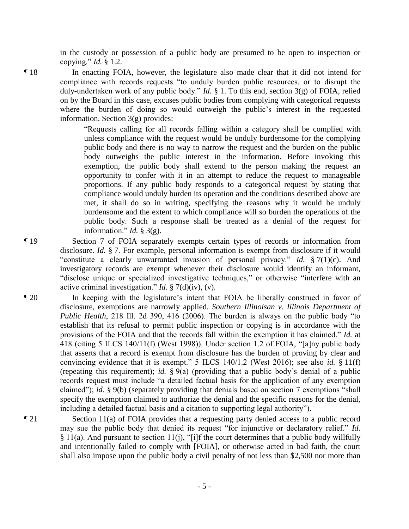in the custody or possession of a public body are presumed to be open to inspection or copying." *Id.* § 1.2.

¶ 18 In enacting FOIA, however, the legislature also made clear that it did not intend for compliance with records requests "to unduly burden public resources, or to disrupt the duly-undertaken work of any public body." *Id.* § 1. To this end, section 3(g) of FOIA, relied on by the Board in this case, excuses public bodies from complying with categorical requests where the burden of doing so would outweigh the public's interest in the requested information. Section 3(g) provides:

> "Requests calling for all records falling within a category shall be complied with unless compliance with the request would be unduly burdensome for the complying public body and there is no way to narrow the request and the burden on the public body outweighs the public interest in the information. Before invoking this exemption, the public body shall extend to the person making the request an opportunity to confer with it in an attempt to reduce the request to manageable proportions. If any public body responds to a categorical request by stating that compliance would unduly burden its operation and the conditions described above are met, it shall do so in writing, specifying the reasons why it would be unduly burdensome and the extent to which compliance will so burden the operations of the public body. Such a response shall be treated as a denial of the request for information." *Id.* § 3(g).

¶ 19 Section 7 of FOIA separately exempts certain types of records or information from disclosure. *Id.* § 7. For example, personal information is exempt from disclosure if it would "constitute a clearly unwarranted invasion of personal privacy." *Id.* § 7(1)(c). And investigatory records are exempt whenever their disclosure would identify an informant, "disclose unique or specialized investigative techniques," or otherwise "interfere with an active criminal investigation." *Id.* § 7(d)(iv), (v).

¶ 20 In keeping with the legislature's intent that FOIA be liberally construed in favor of disclosure, exemptions are narrowly applied. *Southern Illinoisan v. Illinois Department of Public Health*, 218 Ill. 2d 390, 416 (2006). The burden is always on the public body "to establish that its refusal to permit public inspection or copying is in accordance with the provisions of the FOIA and that the records fall within the exemption it has claimed." *Id.* at 418 (citing 5 ILCS 140/11(f) (West 1998)). Under section 1.2 of FOIA, "[a]ny public body that asserts that a record is exempt from disclosure has the burden of proving by clear and convincing evidence that it is exempt." 5 ILCS 140/1.2 (West 2016); see also *id.* § 11(f) (repeating this requirement); *id.* § 9(a) (providing that a public body's denial of a public records request must include "a detailed factual basis for the application of any exemption claimed"); *id.* § 9(b) (separately providing that denials based on section 7 exemptions "shall specify the exemption claimed to authorize the denial and the specific reasons for the denial, including a detailed factual basis and a citation to supporting legal authority").

¶ 21 Section 11(a) of FOIA provides that a requesting party denied access to a public record may sue the public body that denied its request "for injunctive or declaratory relief." *Id.* § 11(a). And pursuant to section 11(j), "[i]f the court determines that a public body willfully and intentionally failed to comply with [FOIA], or otherwise acted in bad faith, the court shall also impose upon the public body a civil penalty of not less than \$2,500 nor more than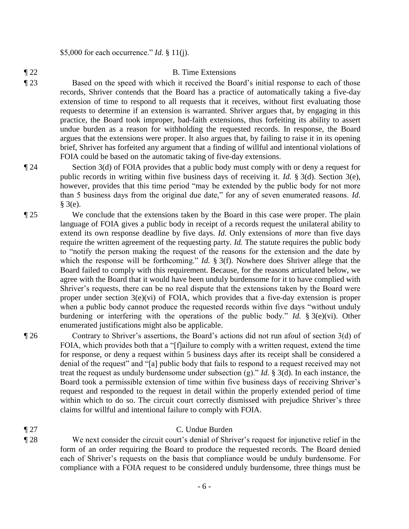\$5,000 for each occurrence." *Id.* § 11(j).

# ¶ 22 B. Time Extensions

¶ 23 Based on the speed with which it received the Board's initial response to each of those records, Shriver contends that the Board has a practice of automatically taking a five-day extension of time to respond to all requests that it receives, without first evaluating those requests to determine if an extension is warranted. Shriver argues that, by engaging in this practice, the Board took improper, bad-faith extensions, thus forfeiting its ability to assert undue burden as a reason for withholding the requested records. In response, the Board argues that the extensions were proper. It also argues that, by failing to raise it in its opening brief, Shriver has forfeited any argument that a finding of willful and intentional violations of FOIA could be based on the automatic taking of five-day extensions.

¶ 24 Section 3(d) of FOIA provides that a public body must comply with or deny a request for public records in writing within five business days of receiving it. *Id.* § 3(d). Section 3(e), however, provides that this time period "may be extended by the public body for not more than 5 business days from the original due date," for any of seven enumerated reasons. *Id.*  § 3(e).

¶ 25 We conclude that the extensions taken by the Board in this case were proper. The plain language of FOIA gives a public body in receipt of a records request the unilateral ability to extend its own response deadline by five days. *Id.* Only extensions of *more* than five days require the written agreement of the requesting party. *Id.* The statute requires the public body to "notify the person making the request of the reasons for the extension and the date by which the response will be forthcoming." *Id.* § 3(f). Nowhere does Shriver allege that the Board failed to comply with this requirement. Because, for the reasons articulated below, we agree with the Board that it would have been unduly burdensome for it to have complied with Shriver's requests, there can be no real dispute that the extensions taken by the Board were proper under section 3(e)(vi) of FOIA, which provides that a five-day extension is proper when a public body cannot produce the requested records within five days "without unduly" burdening or interfering with the operations of the public body." *Id.* § 3(e)(vi). Other enumerated justifications might also be applicable.

¶ 26 Contrary to Shriver's assertions, the Board's actions did not run afoul of section 3(d) of FOIA, which provides both that a "[f]ailure to comply with a written request, extend the time for response, or deny a request within 5 business days after its receipt shall be considered a denial of the request" and "[a] public body that fails to respond to a request received may not treat the request as unduly burdensome under subsection (g)." *Id.* § 3(d). In each instance, the Board took a permissible extension of time within five business days of receiving Shriver's request and responded to the request in detail within the properly extended period of time within which to do so. The circuit court correctly dismissed with prejudice Shriver's three claims for willful and intentional failure to comply with FOIA.

# ¶ 27 C. Undue Burden

¶ 28 We next consider the circuit court's denial of Shriver's request for injunctive relief in the form of an order requiring the Board to produce the requested records. The Board denied each of Shriver's requests on the basis that compliance would be unduly burdensome. For compliance with a FOIA request to be considered unduly burdensome, three things must be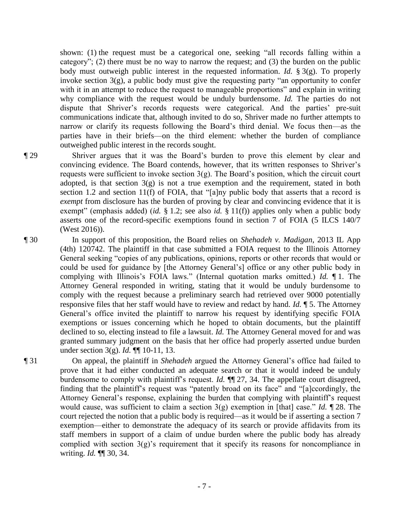shown: (1) the request must be a categorical one, seeking "all records falling within a category"; (2) there must be no way to narrow the request; and (3) the burden on the public body must outweigh public interest in the requested information. *Id.* § 3(g). To properly invoke section 3(g), a public body must give the requesting party "an opportunity to confer with it in an attempt to reduce the request to manageable proportions" and explain in writing why compliance with the request would be unduly burdensome. *Id.* The parties do not dispute that Shriver's records requests were categorical. And the parties' pre-suit communications indicate that, although invited to do so, Shriver made no further attempts to narrow or clarify its requests following the Board's third denial. We focus then—as the parties have in their briefs—on the third element: whether the burden of compliance outweighed public interest in the records sought.

¶ 29 Shriver argues that it was the Board's burden to prove this element by clear and convincing evidence. The Board contends, however, that its written responses to Shriver's requests were sufficient to invoke section  $3(g)$ . The Board's position, which the circuit court adopted, is that section  $3(g)$  is not a true exemption and the requirement, stated in both section 1.2 and section 11(f) of FOIA, that "[a]ny public body that asserts that a record is *exempt* from disclosure has the burden of proving by clear and convincing evidence that it is exempt" (emphasis added) (*id.* § 1.2; see also *id.* § 11(f)) applies only when a public body asserts one of the record-specific exemptions found in section 7 of FOIA (5 ILCS 140/7 (West 2016)).

¶ 30 In support of this proposition, the Board relies on *Shehadeh v. Madigan*, 2013 IL App (4th) 120742. The plaintiff in that case submitted a FOIA request to the Illinois Attorney General seeking "copies of any publications, opinions, reports or other records that would or could be used for guidance by [the Attorney General's] office or any other public body in complying with Illinois's FOIA laws." (Internal quotation marks omitted.) *Id.* ¶ 1. The Attorney General responded in writing, stating that it would be unduly burdensome to comply with the request because a preliminary search had retrieved over 9000 potentially responsive files that her staff would have to review and redact by hand. *Id.* ¶ 5. The Attorney General's office invited the plaintiff to narrow his request by identifying specific FOIA exemptions or issues concerning which he hoped to obtain documents, but the plaintiff declined to so, electing instead to file a lawsuit. *Id.* The Attorney General moved for and was granted summary judgment on the basis that her office had properly asserted undue burden under section 3(g). *Id.* ¶¶ 10-11, 13.

¶ 31 On appeal, the plaintiff in *Shehadeh* argued the Attorney General's office had failed to prove that it had either conducted an adequate search or that it would indeed be unduly burdensome to comply with plaintiff's request. *Id.* ¶¶ 27, 34. The appellate court disagreed, finding that the plaintiff's request was "patently broad on its face" and "[a]ccordingly, the Attorney General's response, explaining the burden that complying with plaintiff's request would cause, was sufficient to claim a section 3(g) exemption in [that] case." *Id.* ¶ 28. The court rejected the notion that a public body is required—as it would be if asserting a section 7 exemption—either to demonstrate the adequacy of its search or provide affidavits from its staff members in support of a claim of undue burden where the public body has already complied with section  $3(g)$ 's requirement that it specify its reasons for noncompliance in writing. *Id.* ¶¶ 30, 34.

- 7 -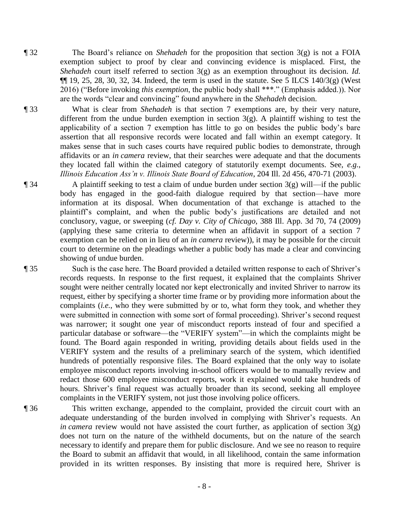- ¶ 32 The Board's reliance on *Shehadeh* for the proposition that section 3(g) is not a FOIA exemption subject to proof by clear and convincing evidence is misplaced. First, the *Shehadeh* court itself referred to section 3(g) as an exemption throughout its decision. *Id.*  $\P$ [19, 25, 28, 30, 32, 34. Indeed, the term is used in the statute. See 5 ILCS 140/3(g) (West 2016) ("Before invoking *this exemption*, the public body shall \*\*\*." (Emphasis added.)). Nor are the words "clear and convincing" found anywhere in the *Shehadeh* decision.
- ¶ 33 What is clear from *Shehadeh* is that section 7 exemptions are, by their very nature, different from the undue burden exemption in section  $3(g)$ . A plaintiff wishing to test the applicability of a section 7 exemption has little to go on besides the public body's bare assertion that all responsive records were located and fall within an exempt category. It makes sense that in such cases courts have required public bodies to demonstrate, through affidavits or an *in camera* review, that their searches were adequate and that the documents they located fall within the claimed category of statutorily exempt documents. See, *e.g.*, *Illinois Education Ass'n v. Illinois State Board of Education*, 204 Ill. 2d 456, 470-71 (2003).
- $\P$  34 A plaintiff seeking to test a claim of undue burden under section  $3(g)$  will—if the public body has engaged in the good-faith dialogue required by that section—have more information at its disposal. When documentation of that exchange is attached to the plaintiff's complaint, and when the public body's justifications are detailed and not conclusory, vague, or sweeping (*cf. Day v. City of Chicago*, 388 Ill. App. 3d 70, 74 (2009) (applying these same criteria to determine when an affidavit in support of a section 7 exemption can be relied on in lieu of an *in camera* review)), it may be possible for the circuit court to determine on the pleadings whether a public body has made a clear and convincing showing of undue burden.

¶ 35 Such is the case here. The Board provided a detailed written response to each of Shriver's records requests. In response to the first request, it explained that the complaints Shriver sought were neither centrally located nor kept electronically and invited Shriver to narrow its request, either by specifying a shorter time frame or by providing more information about the complaints (*i.e.*, who they were submitted by or to, what form they took, and whether they were submitted in connection with some sort of formal proceeding). Shriver's second request was narrower; it sought one year of misconduct reports instead of four and specified a particular database or software—the "VERIFY system"—in which the complaints might be found. The Board again responded in writing, providing details about fields used in the VERIFY system and the results of a preliminary search of the system, which identified hundreds of potentially responsive files. The Board explained that the only way to isolate employee misconduct reports involving in-school officers would be to manually review and redact those 600 employee misconduct reports, work it explained would take hundreds of hours. Shriver's final request was actually broader than its second, seeking all employee complaints in the VERIFY system, not just those involving police officers.

¶ 36 This written exchange, appended to the complaint, provided the circuit court with an adequate understanding of the burden involved in complying with Shriver's requests. An *in camera* review would not have assisted the court further, as application of section  $3(g)$ does not turn on the nature of the withheld documents, but on the nature of the search necessary to identify and prepare them for public disclosure. And we see no reason to require the Board to submit an affidavit that would, in all likelihood, contain the same information provided in its written responses. By insisting that more is required here, Shriver is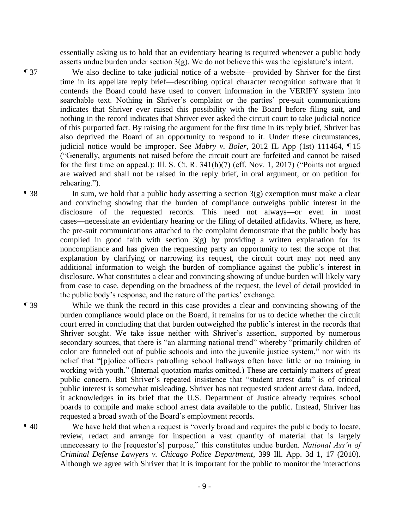essentially asking us to hold that an evidentiary hearing is required whenever a public body asserts undue burden under section 3(g). We do not believe this was the legislature's intent.

¶ 37 We also decline to take judicial notice of a website—provided by Shriver for the first time in its appellate reply brief—describing optical character recognition software that it contends the Board could have used to convert information in the VERIFY system into searchable text. Nothing in Shriver's complaint or the parties' pre-suit communications indicates that Shriver ever raised this possibility with the Board before filing suit, and nothing in the record indicates that Shriver ever asked the circuit court to take judicial notice of this purported fact. By raising the argument for the first time in its reply brief, Shriver has also deprived the Board of an opportunity to respond to it. Under these circumstances, judicial notice would be improper. See *Mabry v. Boler*, 2012 IL App (1st) 111464, ¶ 15 ("Generally, arguments not raised before the circuit court are forfeited and cannot be raised for the first time on appeal.); Ill. S. Ct. R. 341(h)(7) (eff. Nov. 1, 2017) ("Points not argued are waived and shall not be raised in the reply brief, in oral argument, or on petition for rehearing.").

 $\lceil 38 \rceil$  In sum, we hold that a public body asserting a section  $\lceil 3(g) \rceil$  exemption must make a clear and convincing showing that the burden of compliance outweighs public interest in the disclosure of the requested records. This need not always—or even in most cases—necessitate an evidentiary hearing or the filing of detailed affidavits. Where, as here, the pre-suit communications attached to the complaint demonstrate that the public body has complied in good faith with section  $3(g)$  by providing a written explanation for its noncompliance and has given the requesting party an opportunity to test the scope of that explanation by clarifying or narrowing its request, the circuit court may not need any additional information to weigh the burden of compliance against the public's interest in disclosure. What constitutes a clear and convincing showing of undue burden will likely vary from case to case, depending on the broadness of the request, the level of detail provided in the public body's response, and the nature of the parties' exchange.

- ¶ 39 While we think the record in this case provides a clear and convincing showing of the burden compliance would place on the Board, it remains for us to decide whether the circuit court erred in concluding that that burden outweighed the public's interest in the records that Shriver sought. We take issue neither with Shriver's assertion, supported by numerous secondary sources, that there is "an alarming national trend" whereby "primarily children of color are funneled out of public schools and into the juvenile justice system," nor with its belief that "[p]olice officers patrolling school hallways often have little or no training in working with youth." (Internal quotation marks omitted.) These are certainly matters of great public concern. But Shriver's repeated insistence that "student arrest data" is of critical public interest is somewhat misleading. Shriver has not requested student arrest data. Indeed, it acknowledges in its brief that the U.S. Department of Justice already requires school boards to compile and make school arrest data available to the public. Instead, Shriver has requested a broad swath of the Board's employment records.
- 

¶ 40 We have held that when a request is "overly broad and requires the public body to locate, review, redact and arrange for inspection a vast quantity of material that is largely unnecessary to the [requestor's] purpose," this constitutes undue burden. *National Ass'n of Criminal Defense Lawyers v. Chicago Police Department*, 399 Ill. App. 3d 1, 17 (2010). Although we agree with Shriver that it is important for the public to monitor the interactions